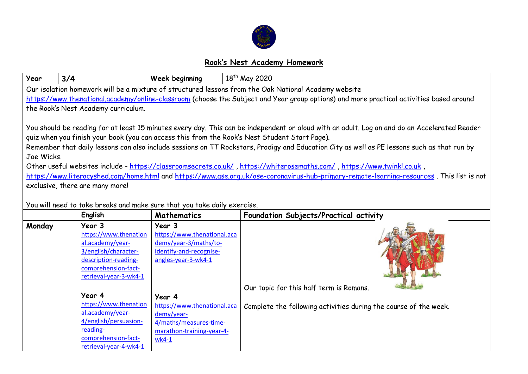

## **Rook's Nest Academy Homework**

| Year                                                                                                                                         | 3/4                                                                      | Week beginning                          | 18 <sup>th</sup> May 2020                                                                                                                   |  |  |  |  |  |  |
|----------------------------------------------------------------------------------------------------------------------------------------------|--------------------------------------------------------------------------|-----------------------------------------|---------------------------------------------------------------------------------------------------------------------------------------------|--|--|--|--|--|--|
| Our isolation homework will be a mixture of structured lessons from the Oak National Academy website                                         |                                                                          |                                         |                                                                                                                                             |  |  |  |  |  |  |
| https://www.thenational.academy/online-classroom (choose the Subject and Year group options) and more practical activities based around      |                                                                          |                                         |                                                                                                                                             |  |  |  |  |  |  |
| the Rook's Nest Academy curriculum.                                                                                                          |                                                                          |                                         |                                                                                                                                             |  |  |  |  |  |  |
|                                                                                                                                              |                                                                          |                                         |                                                                                                                                             |  |  |  |  |  |  |
| You should be reading for at least 15 minutes every day. This can be independent or aloud with an adult. Log on and do an Accelerated Reader |                                                                          |                                         |                                                                                                                                             |  |  |  |  |  |  |
| quiz when you finish your book (you can access this from the Rook's Nest Student Start Page).                                                |                                                                          |                                         |                                                                                                                                             |  |  |  |  |  |  |
|                                                                                                                                              |                                                                          |                                         | Remember that daily lessons can also include sessions on TT Rockstars, Prodigy and Education City as well as PE lessons such as that run by |  |  |  |  |  |  |
| Joe Wicks.                                                                                                                                   |                                                                          |                                         |                                                                                                                                             |  |  |  |  |  |  |
| , Other useful websites include - https://classroomsecrets.co.uk/, https://whiterosemaths.com/, https://www.twinkl.co.uk                     |                                                                          |                                         |                                                                                                                                             |  |  |  |  |  |  |
| https://www.literacyshed.com/home.html and https://www.ase.org.uk/ase-coronavirus-hub-primary-remote-learning-resources. This list is not    |                                                                          |                                         |                                                                                                                                             |  |  |  |  |  |  |
| exclusive, there are many more!                                                                                                              |                                                                          |                                         |                                                                                                                                             |  |  |  |  |  |  |
|                                                                                                                                              |                                                                          |                                         |                                                                                                                                             |  |  |  |  |  |  |
|                                                                                                                                              | You will need to take breaks and make sure that you take daily exercise. |                                         |                                                                                                                                             |  |  |  |  |  |  |
|                                                                                                                                              | English                                                                  | Mathematics                             | Foundation Subjects/Practical activity                                                                                                      |  |  |  |  |  |  |
| Monday                                                                                                                                       | Year 3                                                                   | Year 3                                  |                                                                                                                                             |  |  |  |  |  |  |
|                                                                                                                                              | https://www.thenation                                                    | https://www.thenational.aca             |                                                                                                                                             |  |  |  |  |  |  |
|                                                                                                                                              | al.academy/year-                                                         | demy/year-3/maths/to-                   |                                                                                                                                             |  |  |  |  |  |  |
|                                                                                                                                              | 3/english/character-                                                     | identify-and-recognise-                 |                                                                                                                                             |  |  |  |  |  |  |
|                                                                                                                                              | description-reading-<br>comprehension-fact-                              | angles-year-3-wk4-1                     |                                                                                                                                             |  |  |  |  |  |  |
|                                                                                                                                              | retrieval-year-3-wk4-1                                                   |                                         |                                                                                                                                             |  |  |  |  |  |  |
|                                                                                                                                              |                                                                          | Our topic for this half term is Romans. |                                                                                                                                             |  |  |  |  |  |  |
|                                                                                                                                              | Year 4                                                                   | Year 4                                  |                                                                                                                                             |  |  |  |  |  |  |
|                                                                                                                                              | https://www.thenation                                                    | https://www.thenational.aca             | Complete the following activities during the course of the week.                                                                            |  |  |  |  |  |  |
|                                                                                                                                              | al.academy/year-                                                         | demy/year-                              |                                                                                                                                             |  |  |  |  |  |  |
|                                                                                                                                              | 4/english/persuasion-                                                    | 4/maths/measures-time-                  |                                                                                                                                             |  |  |  |  |  |  |
|                                                                                                                                              | reading-                                                                 | marathon-training-year-4-               |                                                                                                                                             |  |  |  |  |  |  |
|                                                                                                                                              | comprehension-fact-                                                      | $wk4-1$                                 |                                                                                                                                             |  |  |  |  |  |  |
|                                                                                                                                              | retrieval-year-4-wk4-1                                                   |                                         |                                                                                                                                             |  |  |  |  |  |  |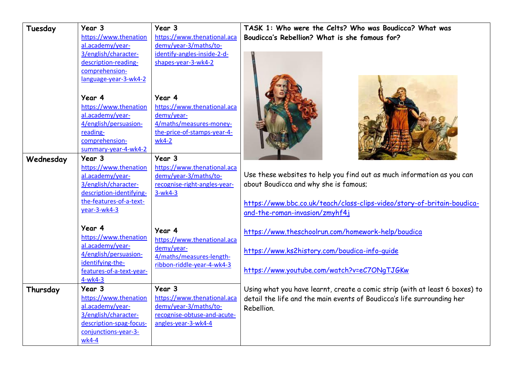| Tuesday   | Year 3                                    | Year 3                                    | TASK 1: Who were the Celts? Who was Boudicca? What was                      |  |  |
|-----------|-------------------------------------------|-------------------------------------------|-----------------------------------------------------------------------------|--|--|
|           | https://www.thenation                     | https://www.thenational.aca               | Boudicca's Rebellion? What is she famous for?                               |  |  |
|           | al.academy/year-                          | demy/year-3/maths/to-                     |                                                                             |  |  |
|           | 3/english/character-                      | identify-angles-inside-2-d-               |                                                                             |  |  |
|           | description-reading-                      | shapes-year-3-wk4-2                       |                                                                             |  |  |
|           | comprehension-                            |                                           |                                                                             |  |  |
|           | language-year-3-wk4-2                     |                                           |                                                                             |  |  |
|           | Year 4                                    | Year 4                                    |                                                                             |  |  |
|           | https://www.thenation                     | https://www.thenational.aca               |                                                                             |  |  |
|           | al.academy/year-                          | demy/year-                                |                                                                             |  |  |
|           | 4/english/persuasion-                     | 4/maths/measures-money-                   |                                                                             |  |  |
|           | reading-                                  | the-price-of-stamps-year-4-               |                                                                             |  |  |
|           | comprehension-                            | wk4-2                                     |                                                                             |  |  |
|           | summary-year-4-wk4-2                      |                                           |                                                                             |  |  |
| Wednesday | Year 3                                    | Year 3                                    |                                                                             |  |  |
|           | https://www.thenation                     | https://www.thenational.aca               |                                                                             |  |  |
|           | al.academy/year-                          | demy/year-3/maths/to-                     | Use these websites to help you find out as much information as you can      |  |  |
|           | 3/english/character-                      | recognise-right-angles-year-              | about Boudicca and why she is famous;                                       |  |  |
|           | description-identifying-                  | $3-wk4-3$                                 |                                                                             |  |  |
|           | the-features-of-a-text-                   |                                           | https://www.bbc.co.uk/teach/class-clips-video/story-of-britain-boudica-     |  |  |
|           | year-3-wk4-3                              |                                           | and-the-roman-invasion/zmyhf4j                                              |  |  |
|           | Year 4                                    | Year 4                                    | https://www.theschoolrun.com/homework-help/boudica                          |  |  |
|           | https://www.thenation<br>al.academy/year- | https://www.thenational.aca<br>demy/year- |                                                                             |  |  |
|           | 4/english/persuasion-                     | 4/maths/measures-length-                  | https://www.ks2history.com/boudica-info-quide                               |  |  |
|           | identifying-the-                          | ribbon-riddle-year-4-wk4-3                |                                                                             |  |  |
|           | features-of-a-text-year-                  |                                           | https://www.youtube.com/watch?v=eC7ONgTJGKw                                 |  |  |
|           | $4-wk4-3$                                 |                                           |                                                                             |  |  |
| Thursday  | Year 3                                    | Year 3                                    | Using what you have learnt, create a comic strip (with at least 6 boxes) to |  |  |
|           | https://www.thenation                     | https://www.thenational.aca               | detail the life and the main events of Boudicca's life surrounding her      |  |  |
|           | al.academy/year-                          | demy/year-3/maths/to-                     | Rebellion.                                                                  |  |  |
|           | 3/english/character-                      | recognise-obtuse-and-acute-               |                                                                             |  |  |
|           | description-spag-focus-                   | angles-year-3-wk4-4                       |                                                                             |  |  |
|           | conjunctions-year-3-                      |                                           |                                                                             |  |  |
|           | wk4-4                                     |                                           |                                                                             |  |  |